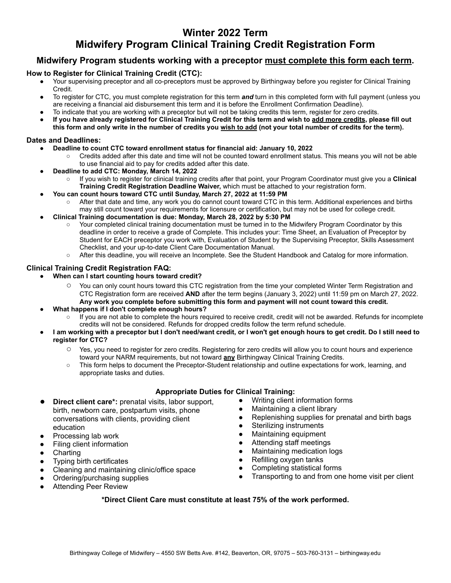## **Winter 2022 Term Midwifery Program Clinical Training Credit Registration Form**

### **Midwifery Program students working with a preceptor must complete this form each term.**

#### **How to Register for Clinical Training Credit (CTC):**

- Your supervising preceptor and all co-preceptors must be approved by Birthingway before you register for Clinical Training Credit.
- To register for CTC, you must complete registration for this term *and* turn in this completed form with full payment (unless you are receiving a financial aid disbursement this term and it is before the Enrollment Confirmation Deadline).
- To indicate that you are working with a preceptor but will not be taking credits this term, register for zero credits.
- **If you have already registered for Clinical Training Credit for this term and wish to add more credits, please fill out this form and only write in the number of credits you wish to add (not your total number of credits for the term).**

#### **Dates and Deadlines:**

- **● Deadline to count CTC toward enrollment status for financial aid: January 10, 2022**
	- Credits added after this date and time will not be counted toward enrollment status. This means you will not be able to use financial aid to pay for credits added after this date.
- **● Deadline to add CTC: Monday, March 14, 2022**
	- If you wish to register for clinical training credits after that point, your Program Coordinator must give you a **Clinical Training Credit Registration Deadline Waiver,** which must be attached to your registration form.
- **● You can count hours toward CTC until Sunday, March 27, 2022 at 11:59 PM**
	- After that date and time, any work you do cannot count toward CTC in this term. Additional experiences and births may still count toward your requirements for licensure or certification, but may not be used for college credit.
- **● Clinical Training documentation is due: Monday, March 28, 2022 by 5:30 PM**
	- Your completed clinical training documentation must be turned in to the Midwifery Program Coordinator by this deadline in order to receive a grade of Complete. This includes your: Time Sheet, an Evaluation of Preceptor by Student for EACH preceptor you work with, Evaluation of Student by the Supervising Preceptor, Skills Assessment Checklist, and your up-to-date Client Care Documentation Manual.
	- After this deadline, you will receive an Incomplete. See the Student Handbook and Catalog for more information.

#### **Clinical Training Credit Registration FAQ:**

- **● When can I start counting hours toward credit?**
	- You can only count hours toward this CTC registration from the time your completed Winter Term Registration and CTC Registration form are received **AND** after the term begins (January 3, 2022) until 11:59 pm on March 27, 2022. **Any work you complete before submitting this form and payment will not count toward this credit.**
- **● What happens if I don't complete enough hours?**
	- If you are not able to complete the hours required to receive credit, credit will not be awarded. Refunds for incomplete credits will not be considered. Refunds for dropped credits follow the term refund schedule.
- **● I am working with a preceptor but I don't need/want credit, or I won't get enough hours to get credit. Do I still need to register for CTC?**
	- Yes, you need to register for zero credits. Registering for zero credits will allow you to count hours and experience toward your NARM requirements, but not toward **any** Birthingway Clinical Training Credits.
	- This form helps to document the Preceptor-Student relationship and outline expectations for work, learning, and appropriate tasks and duties.

#### **Appropriate Duties for Clinical Training:**

- **Direct client care\*:** prenatal visits, labor support, birth, newborn care, postpartum visits, phone conversations with clients, providing client education
- Processing lab work
- **Filing client information**
- Charting
- **Typing birth certificates**
- Cleaning and maintaining clinic/office space
- Ordering/purchasing supplies
- **Attending Peer Review**
- Writing client information forms
- Maintaining a client library
- Replenishing supplies for prenatal and birth bags
- Sterilizing instruments
- Maintaining equipment
- Attending staff meetings
- **Maintaining medication logs**
- Refilling oxygen tanks
- Completing statistical forms
- Transporting to and from one home visit per client

#### **\*Direct Client Care must constitute at least 75% of the work performed.**